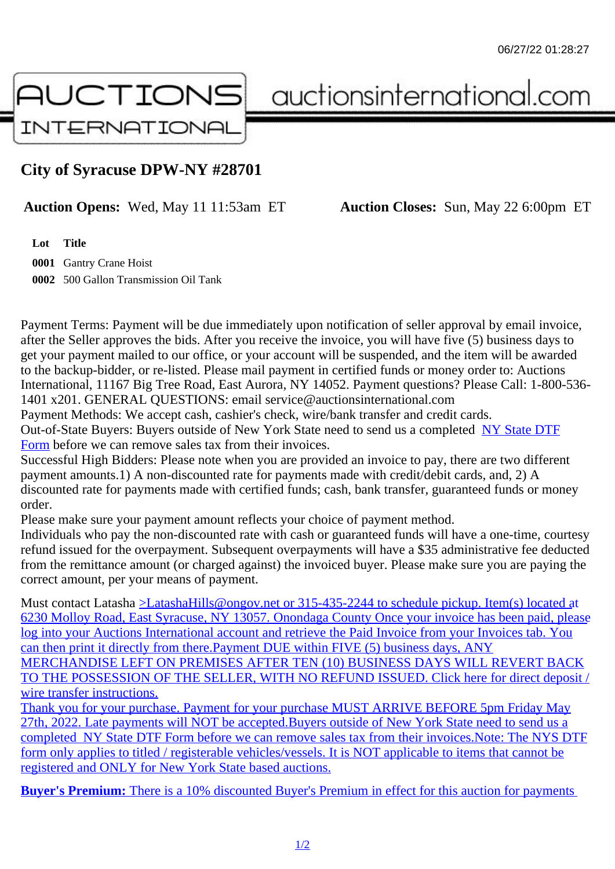## City of Syracuse DPW-NY #28701

Auction Opens: Wed, May 11 11:53am ET Auction Closes: Sun, May 22 6:00pm ET

Lot Title

0001 Gantry Crane Hoist 0002 500 Gallon Transmission Oil Tank

Payment Terms: Payment will be due immediately upon notification of seller approval by email invoice, after the Seller approves the bids. After you receive the invoice, you will have five (5) business days to get your payment mailed to our office, or your account will be suspended, and the item will be awarded to the backup-bidder, or re-listed. Please mail payment in certified funds or money order to: Auctions International, 11167 Big Tree Road, East Aurora, NY 14052. Payment questions? Please Call: 1-800-53 1401 x201. GENERAL QUESTIONS: email service@auctionsinternational.com

Payment Methods: We accept cash, cashier's check, wire/bank transfer and credit cards. Out-of-State Buyers: Buyers outside of New York State need to send us a com blestate DTF Form before we can remove sales tax from their invoices.

Successful High Bidders: Please note when you are provided an invoice to pay, there are two different payment amounts.1) A non-discounted rate for payments made with credit/de[bit cards, and](https://www.auctionsinternational.com/auxiliary/downloads/DTF_Form/dtf_fill_in.pdf), 2) A [disco](https://www.auctionsinternational.com/auxiliary/downloads/DTF_Form/dtf_fill_in.pdf)unted rate for payments made with certified funds; cash, bank transfer, guaranteed funds or mone order.

Please make sure your payment amount reflects your choice of payment method.

Individuals who pay the non-discounted rate with cash or quaranteed funds will have a one-time, courte refund issued for the overpayment. Subsequent overpayments will have a \$35 administrative fee deduc from the remittance amount (or charged against) the invoiced buyer. Please make sure you are paying correct amount, per your means of payment.

Must contact Latasha Latasha Hills@ongov.net or 315-435-2244 to schedule pickup. Item(s) located at 6230 Molloy Road, East Syracuse, NY 13057. Onondaga County Once your invoice has been paid, ple log into your Auctions International account and retrieve the Paid Invoice from your Invoices tab. You can then print it directly from there. Payment DUE within FIVE (5) business days, ANY [MERCHANDISE LEFT ON PREMISES AFTER TEN \(10\) BUSINESS DAYS WILL REVERT BAC](mailto:LatashaHills@ongov.net</c:alink)K [TO THE POSSESSION OF THE SELLER, WITH NO REFUND ISSUED. Click here for direct](mailto:LatashaHills@ongov.net</c:alink) deposit / wire transfer instructions.

[Thank you for your purchase. Payment for your purchase MUST ARRIVE BEFORE 5pm Friday](mailto:LatashaHills@ongov.net</c:alink) May [27th, 2022. Late payments will NOT be accepted.Buyers outside of New York State need to send](mailto:LatashaHills@ongov.net</c:alink) us a [completed NY State DT](mailto:LatashaHills@ongov.net</c:alink)F Form before we can remove sales tax from their invoices. Note: The NYS DTF [form only applies to titled / registerable vehicles/vessels. It is NOT applicable to items that can](mailto:LatashaHills@ongov.net</c:alink)not be [registered and ONLY for New York State based auctions.](mailto:LatashaHills@ongov.net</c:alink)

[Buyer's Pre](mailto:LatashaHills@ongov.net</c:alink)[mium: There is a](https://www.auctionsinternational.com/auxiliary/downloads/DTF_Form/dtf_fill_in.pdf) [10% discounted Buyer's Premium in effect for this auction for paym](mailto:LatashaHills@ongov.net</c:alink)ents